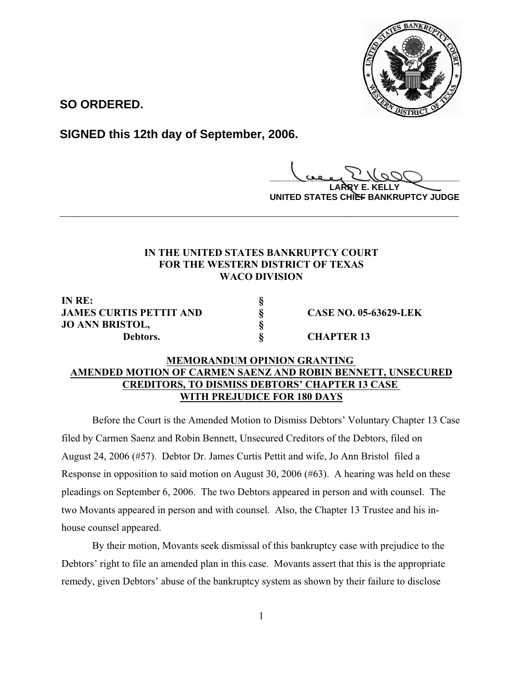

**SO ORDERED.**

**SIGNED this 12th day of September, 2006.**

**\_\_\_\_\_\_\_\_\_\_\_\_\_\_\_\_\_\_\_\_\_\_\_\_\_\_\_\_\_\_\_\_\_\_\_\_\_\_\_\_**

**LARRY E. KELLY UNITED STATES CHIEF BANKRUPTCY JUDGE**

# **IN THE UNITED STATES BANKRUPTCY COURT FOR THE WESTERN DISTRICT OF TEXAS WACO DIVISION**

**\_\_\_\_\_\_\_\_\_\_\_\_\_\_\_\_\_\_\_\_\_\_\_\_\_\_\_\_\_\_\_\_\_\_\_\_\_\_\_\_\_\_\_\_\_\_\_\_\_\_\_\_\_\_\_\_\_\_\_\_**

**IN RE: § JAMES CURTIS PETTIT AND § CASE NO. 05-63629-LEK JO ANN BRISTOL, § Debtors. § CHAPTER 13**

# **MEMORANDUM OPINION GRANTING AMENDED MOTION OF CARMEN SAENZ AND ROBIN BENNETT, UNSECURED CREDITORS, TO DISMISS DEBTORS' CHAPTER 13 CASE WITH PREJUDICE FOR 180 DAYS**

Before the Court is the Amended Motion to Dismiss Debtors' Voluntary Chapter 13 Case filed by Carmen Saenz and Robin Bennett, Unsecured Creditors of the Debtors, filed on August 24, 2006 (#57). Debtor Dr. James Curtis Pettit and wife, Jo Ann Bristol filed a Response in opposition to said motion on August 30, 2006 (#63). A hearing was held on these pleadings on September 6, 2006. The two Debtors appeared in person and with counsel. The two Movants appeared in person and with counsel. Also, the Chapter 13 Trustee and his inhouse counsel appeared.

By their motion, Movants seek dismissal of this bankruptcy case with prejudice to the Debtors' right to file an amended plan in this case. Movants assert that this is the appropriate remedy, given Debtors' abuse of the bankruptcy system as shown by their failure to disclose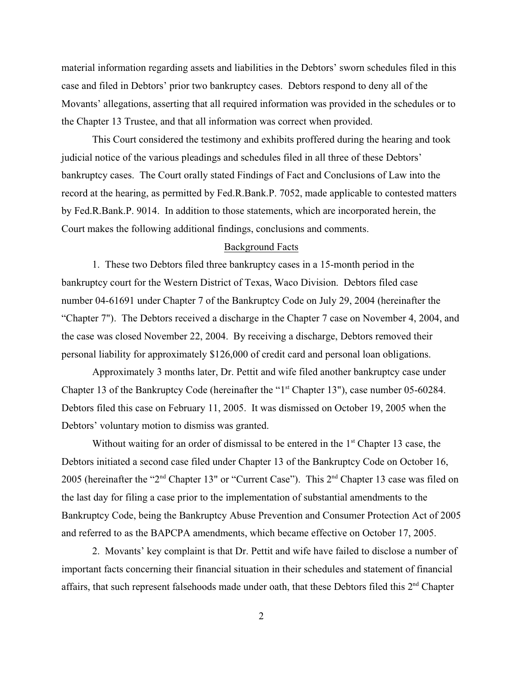material information regarding assets and liabilities in the Debtors' sworn schedules filed in this case and filed in Debtors' prior two bankruptcy cases. Debtors respond to deny all of the Movants' allegations, asserting that all required information was provided in the schedules or to the Chapter 13 Trustee, and that all information was correct when provided.

This Court considered the testimony and exhibits proffered during the hearing and took judicial notice of the various pleadings and schedules filed in all three of these Debtors' bankruptcy cases. The Court orally stated Findings of Fact and Conclusions of Law into the record at the hearing, as permitted by Fed.R.Bank.P. 7052, made applicable to contested matters by Fed.R.Bank.P. 9014. In addition to those statements, which are incorporated herein, the Court makes the following additional findings, conclusions and comments.

#### Background Facts

1. These two Debtors filed three bankruptcy cases in a 15-month period in the bankruptcy court for the Western District of Texas, Waco Division. Debtors filed case number 04-61691 under Chapter 7 of the Bankruptcy Code on July 29, 2004 (hereinafter the "Chapter 7"). The Debtors received a discharge in the Chapter 7 case on November 4, 2004, and the case was closed November 22, 2004. By receiving a discharge, Debtors removed their personal liability for approximately \$126,000 of credit card and personal loan obligations.

Approximately 3 months later, Dr. Pettit and wife filed another bankruptcy case under Chapter 13 of the Bankruptcy Code (hereinafter the " $1<sup>st</sup>$  Chapter 13"), case number 05-60284. Debtors filed this case on February 11, 2005. It was dismissed on October 19, 2005 when the Debtors' voluntary motion to dismiss was granted.

Without waiting for an order of dismissal to be entered in the  $1<sup>st</sup>$  Chapter 13 case, the Debtors initiated a second case filed under Chapter 13 of the Bankruptcy Code on October 16, 2005 (hereinafter the "2<sup>nd</sup> Chapter 13" or "Current Case"). This  $2<sup>nd</sup>$  Chapter 13 case was filed on the last day for filing a case prior to the implementation of substantial amendments to the Bankruptcy Code, being the Bankruptcy Abuse Prevention and Consumer Protection Act of 2005 and referred to as the BAPCPA amendments, which became effective on October 17, 2005.

2. Movants' key complaint is that Dr. Pettit and wife have failed to disclose a number of important facts concerning their financial situation in their schedules and statement of financial affairs, that such represent falsehoods made under oath, that these Debtors filed this 2<sup>nd</sup> Chapter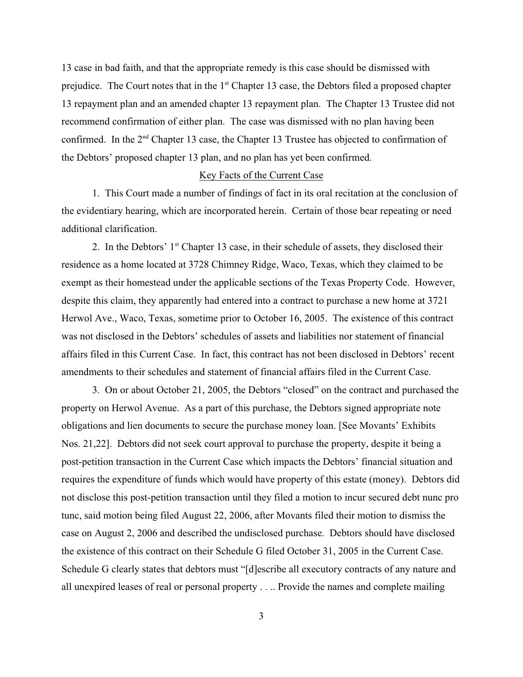13 case in bad faith, and that the appropriate remedy is this case should be dismissed with prejudice. The Court notes that in the  $1<sup>st</sup>$  Chapter 13 case, the Debtors filed a proposed chapter 13 repayment plan and an amended chapter 13 repayment plan. The Chapter 13 Trustee did not recommend confirmation of either plan. The case was dismissed with no plan having been confirmed. In the  $2<sup>nd</sup>$  Chapter 13 case, the Chapter 13 Trustee has objected to confirmation of the Debtors' proposed chapter 13 plan, and no plan has yet been confirmed.

### Key Facts of the Current Case

1. This Court made a number of findings of fact in its oral recitation at the conclusion of the evidentiary hearing, which are incorporated herein. Certain of those bear repeating or need additional clarification.

2. In the Debtors'  $1<sup>st</sup>$  Chapter 13 case, in their schedule of assets, they disclosed their residence as a home located at 3728 Chimney Ridge, Waco, Texas, which they claimed to be exempt as their homestead under the applicable sections of the Texas Property Code. However, despite this claim, they apparently had entered into a contract to purchase a new home at 3721 Herwol Ave., Waco, Texas, sometime prior to October 16, 2005. The existence of this contract was not disclosed in the Debtors' schedules of assets and liabilities nor statement of financial affairs filed in this Current Case. In fact, this contract has not been disclosed in Debtors' recent amendments to their schedules and statement of financial affairs filed in the Current Case.

3. On or about October 21, 2005, the Debtors "closed" on the contract and purchased the property on Herwol Avenue. As a part of this purchase, the Debtors signed appropriate note obligations and lien documents to secure the purchase money loan. [See Movants' Exhibits Nos. 21,22]. Debtors did not seek court approval to purchase the property, despite it being a post-petition transaction in the Current Case which impacts the Debtors' financial situation and requires the expenditure of funds which would have property of this estate (money). Debtors did not disclose this post-petition transaction until they filed a motion to incur secured debt nunc pro tunc, said motion being filed August 22, 2006, after Movants filed their motion to dismiss the case on August 2, 2006 and described the undisclosed purchase. Debtors should have disclosed the existence of this contract on their Schedule G filed October 31, 2005 in the Current Case. Schedule G clearly states that debtors must "[d]escribe all executory contracts of any nature and all unexpired leases of real or personal property . . .. Provide the names and complete mailing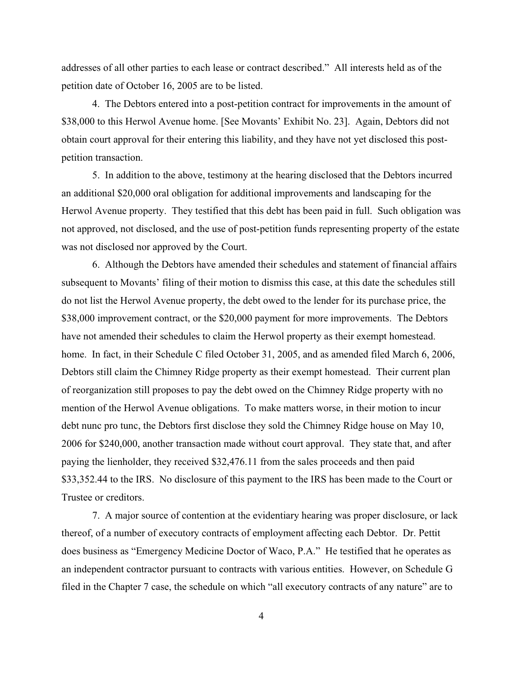addresses of all other parties to each lease or contract described." All interests held as of the petition date of October 16, 2005 are to be listed.

4. The Debtors entered into a post-petition contract for improvements in the amount of \$38,000 to this Herwol Avenue home. [See Movants' Exhibit No. 23]. Again, Debtors did not obtain court approval for their entering this liability, and they have not yet disclosed this postpetition transaction.

5. In addition to the above, testimony at the hearing disclosed that the Debtors incurred an additional \$20,000 oral obligation for additional improvements and landscaping for the Herwol Avenue property. They testified that this debt has been paid in full. Such obligation was not approved, not disclosed, and the use of post-petition funds representing property of the estate was not disclosed nor approved by the Court.

6. Although the Debtors have amended their schedules and statement of financial affairs subsequent to Movants' filing of their motion to dismiss this case, at this date the schedules still do not list the Herwol Avenue property, the debt owed to the lender for its purchase price, the \$38,000 improvement contract, or the \$20,000 payment for more improvements. The Debtors have not amended their schedules to claim the Herwol property as their exempt homestead. home. In fact, in their Schedule C filed October 31, 2005, and as amended filed March 6, 2006, Debtors still claim the Chimney Ridge property as their exempt homestead. Their current plan of reorganization still proposes to pay the debt owed on the Chimney Ridge property with no mention of the Herwol Avenue obligations. To make matters worse, in their motion to incur debt nunc pro tunc, the Debtors first disclose they sold the Chimney Ridge house on May 10, 2006 for \$240,000, another transaction made without court approval. They state that, and after paying the lienholder, they received \$32,476.11 from the sales proceeds and then paid \$33,352.44 to the IRS. No disclosure of this payment to the IRS has been made to the Court or Trustee or creditors.

7. A major source of contention at the evidentiary hearing was proper disclosure, or lack thereof, of a number of executory contracts of employment affecting each Debtor. Dr. Pettit does business as "Emergency Medicine Doctor of Waco, P.A." He testified that he operates as an independent contractor pursuant to contracts with various entities. However, on Schedule G filed in the Chapter 7 case, the schedule on which "all executory contracts of any nature" are to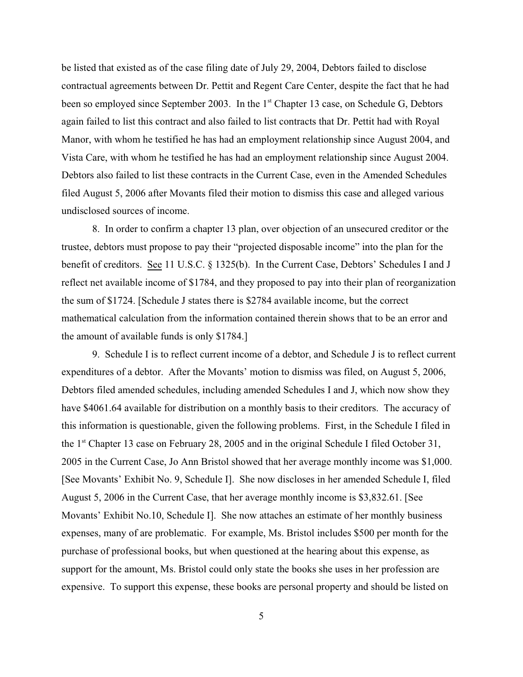be listed that existed as of the case filing date of July 29, 2004, Debtors failed to disclose contractual agreements between Dr. Pettit and Regent Care Center, despite the fact that he had been so employed since September 2003. In the 1<sup>st</sup> Chapter 13 case, on Schedule G, Debtors again failed to list this contract and also failed to list contracts that Dr. Pettit had with Royal Manor, with whom he testified he has had an employment relationship since August 2004, and Vista Care, with whom he testified he has had an employment relationship since August 2004. Debtors also failed to list these contracts in the Current Case, even in the Amended Schedules filed August 5, 2006 after Movants filed their motion to dismiss this case and alleged various undisclosed sources of income.

8. In order to confirm a chapter 13 plan, over objection of an unsecured creditor or the trustee, debtors must propose to pay their "projected disposable income" into the plan for the benefit of creditors. See 11 U.S.C. § 1325(b). In the Current Case, Debtors' Schedules I and J reflect net available income of \$1784, and they proposed to pay into their plan of reorganization the sum of \$1724. [Schedule J states there is \$2784 available income, but the correct mathematical calculation from the information contained therein shows that to be an error and the amount of available funds is only \$1784.]

9. Schedule I is to reflect current income of a debtor, and Schedule J is to reflect current expenditures of a debtor. After the Movants' motion to dismiss was filed, on August 5, 2006, Debtors filed amended schedules, including amended Schedules I and J, which now show they have \$4061.64 available for distribution on a monthly basis to their creditors. The accuracy of this information is questionable, given the following problems. First, in the Schedule I filed in the  $1<sup>st</sup>$  Chapter 13 case on February 28, 2005 and in the original Schedule I filed October 31, 2005 in the Current Case, Jo Ann Bristol showed that her average monthly income was \$1,000. [See Movants' Exhibit No. 9, Schedule I]. She now discloses in her amended Schedule I, filed August 5, 2006 in the Current Case, that her average monthly income is \$3,832.61. [See Movants' Exhibit No.10, Schedule I]. She now attaches an estimate of her monthly business expenses, many of are problematic. For example, Ms. Bristol includes \$500 per month for the purchase of professional books, but when questioned at the hearing about this expense, as support for the amount, Ms. Bristol could only state the books she uses in her profession are expensive. To support this expense, these books are personal property and should be listed on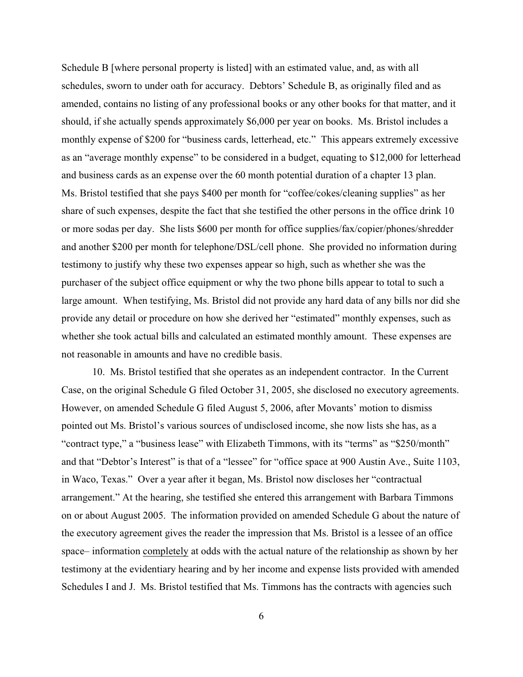Schedule B [where personal property is listed] with an estimated value, and, as with all schedules, sworn to under oath for accuracy. Debtors' Schedule B, as originally filed and as amended, contains no listing of any professional books or any other books for that matter, and it should, if she actually spends approximately \$6,000 per year on books. Ms. Bristol includes a monthly expense of \$200 for "business cards, letterhead, etc." This appears extremely excessive as an "average monthly expense" to be considered in a budget, equating to \$12,000 for letterhead and business cards as an expense over the 60 month potential duration of a chapter 13 plan. Ms. Bristol testified that she pays \$400 per month for "coffee/cokes/cleaning supplies" as her share of such expenses, despite the fact that she testified the other persons in the office drink 10 or more sodas per day. She lists \$600 per month for office supplies/fax/copier/phones/shredder and another \$200 per month for telephone/DSL/cell phone. She provided no information during testimony to justify why these two expenses appear so high, such as whether she was the purchaser of the subject office equipment or why the two phone bills appear to total to such a large amount. When testifying, Ms. Bristol did not provide any hard data of any bills nor did she provide any detail or procedure on how she derived her "estimated" monthly expenses, such as whether she took actual bills and calculated an estimated monthly amount. These expenses are not reasonable in amounts and have no credible basis.

10. Ms. Bristol testified that she operates as an independent contractor. In the Current Case, on the original Schedule G filed October 31, 2005, she disclosed no executory agreements. However, on amended Schedule G filed August 5, 2006, after Movants' motion to dismiss pointed out Ms. Bristol's various sources of undisclosed income, she now lists she has, as a "contract type," a "business lease" with Elizabeth Timmons, with its "terms" as "\$250/month" and that "Debtor's Interest" is that of a "lessee" for "office space at 900 Austin Ave., Suite 1103, in Waco, Texas." Over a year after it began, Ms. Bristol now discloses her "contractual arrangement." At the hearing, she testified she entered this arrangement with Barbara Timmons on or about August 2005. The information provided on amended Schedule G about the nature of the executory agreement gives the reader the impression that Ms. Bristol is a lessee of an office space– information completely at odds with the actual nature of the relationship as shown by her testimony at the evidentiary hearing and by her income and expense lists provided with amended Schedules I and J. Ms. Bristol testified that Ms. Timmons has the contracts with agencies such

6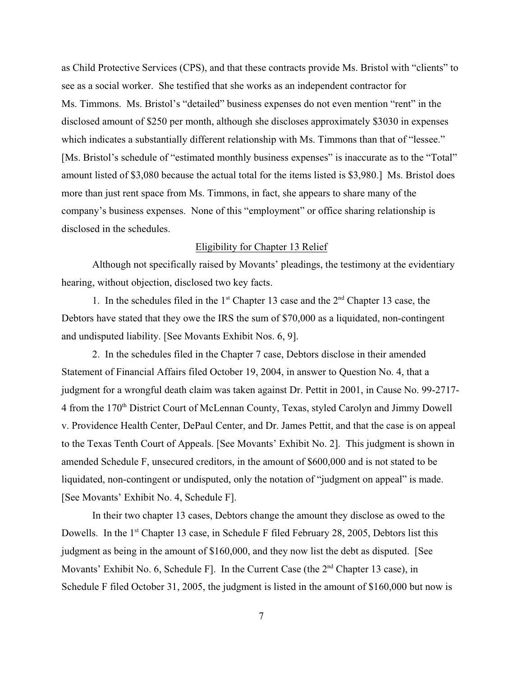as Child Protective Services (CPS), and that these contracts provide Ms. Bristol with "clients" to see as a social worker. She testified that she works as an independent contractor for Ms. Timmons. Ms. Bristol's "detailed" business expenses do not even mention "rent" in the disclosed amount of \$250 per month, although she discloses approximately \$3030 in expenses which indicates a substantially different relationship with Ms. Timmons than that of "lessee." [Ms. Bristol's schedule of "estimated monthly business expenses" is inaccurate as to the "Total" amount listed of \$3,080 because the actual total for the items listed is \$3,980.] Ms. Bristol does more than just rent space from Ms. Timmons, in fact, she appears to share many of the company's business expenses. None of this "employment" or office sharing relationship is disclosed in the schedules.

### Eligibility for Chapter 13 Relief

Although not specifically raised by Movants' pleadings, the testimony at the evidentiary hearing, without objection, disclosed two key facts.

1. In the schedules filed in the  $1<sup>st</sup>$  Chapter 13 case and the  $2<sup>nd</sup>$  Chapter 13 case, the Debtors have stated that they owe the IRS the sum of \$70,000 as a liquidated, non-contingent and undisputed liability. [See Movants Exhibit Nos. 6, 9].

2. In the schedules filed in the Chapter 7 case, Debtors disclose in their amended Statement of Financial Affairs filed October 19, 2004, in answer to Question No. 4, that a judgment for a wrongful death claim was taken against Dr. Pettit in 2001, in Cause No. 99-2717- 4 from the 170<sup>th</sup> District Court of McLennan County, Texas, styled Carolyn and Jimmy Dowell v. Providence Health Center, DePaul Center, and Dr. James Pettit, and that the case is on appeal to the Texas Tenth Court of Appeals. [See Movants' Exhibit No. 2]. This judgment is shown in amended Schedule F, unsecured creditors, in the amount of \$600,000 and is not stated to be liquidated, non-contingent or undisputed, only the notation of "judgment on appeal" is made. [See Movants' Exhibit No. 4, Schedule F].

In their two chapter 13 cases, Debtors change the amount they disclose as owed to the Dowells. In the  $1<sup>st</sup>$  Chapter 13 case, in Schedule F filed February 28, 2005, Debtors list this judgment as being in the amount of \$160,000, and they now list the debt as disputed. [See Movants' Exhibit No. 6, Schedule F. In the Current Case (the  $2<sup>nd</sup>$  Chapter 13 case), in Schedule F filed October 31, 2005, the judgment is listed in the amount of \$160,000 but now is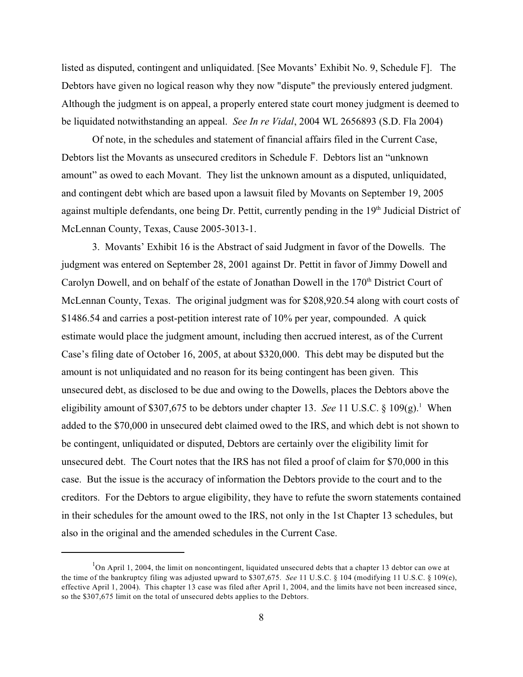listed as disputed, contingent and unliquidated. [See Movants' Exhibit No. 9, Schedule F]. The Debtors have given no logical reason why they now "dispute" the previously entered judgment. Although the judgment is on appeal, a properly entered state court money judgment is deemed to be liquidated notwithstanding an appeal. *See In re Vidal*, 2004 WL 2656893 (S.D. Fla 2004)

Of note, in the schedules and statement of financial affairs filed in the Current Case, Debtors list the Movants as unsecured creditors in Schedule F. Debtors list an "unknown amount" as owed to each Movant. They list the unknown amount as a disputed, unliquidated, and contingent debt which are based upon a lawsuit filed by Movants on September 19, 2005 against multiple defendants, one being Dr. Pettit, currently pending in the 19<sup>th</sup> Judicial District of McLennan County, Texas, Cause 2005-3013-1.

3. Movants' Exhibit 16 is the Abstract of said Judgment in favor of the Dowells. The judgment was entered on September 28, 2001 against Dr. Pettit in favor of Jimmy Dowell and Carolyn Dowell, and on behalf of the estate of Jonathan Dowell in the 170<sup>th</sup> District Court of McLennan County, Texas. The original judgment was for \$208,920.54 along with court costs of \$1486.54 and carries a post-petition interest rate of 10% per year, compounded. A quick estimate would place the judgment amount, including then accrued interest, as of the Current Case's filing date of October 16, 2005, at about \$320,000. This debt may be disputed but the amount is not unliquidated and no reason for its being contingent has been given. This unsecured debt, as disclosed to be due and owing to the Dowells, places the Debtors above the eligibility amount of \$307,675 to be debtors under chapter 13. *See* 11 U.S.C. § 109(g).<sup>1</sup> When added to the \$70,000 in unsecured debt claimed owed to the IRS, and which debt is not shown to be contingent, unliquidated or disputed, Debtors are certainly over the eligibility limit for unsecured debt. The Court notes that the IRS has not filed a proof of claim for \$70,000 in this case. But the issue is the accuracy of information the Debtors provide to the court and to the creditors. For the Debtors to argue eligibility, they have to refute the sworn statements contained in their schedules for the amount owed to the IRS, not only in the 1st Chapter 13 schedules, but also in the original and the amended schedules in the Current Case.

 ${}^{1}$ On April 1, 2004, the limit on noncontingent, liquidated unsecured debts that a chapter 13 debtor can owe at the time of the bankruptcy filing was adjusted upward to \$307,675. *See* 11 U.S.C. § 104 (modifying 11 U.S.C. § 109(e), effective April 1, 2004). This chapter 13 case was filed after April 1, 2004, and the limits have not been increased since, so the \$307,675 limit on the total of unsecured debts applies to the Debtors.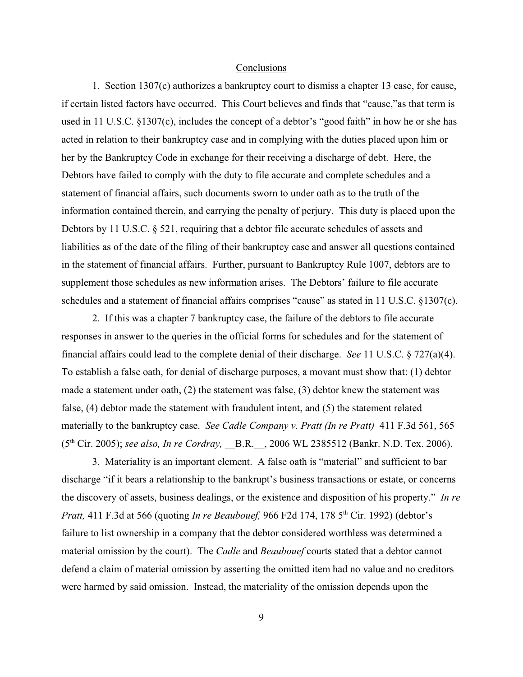#### Conclusions

1. Section 1307(c) authorizes a bankruptcy court to dismiss a chapter 13 case, for cause, if certain listed factors have occurred. This Court believes and finds that "cause,"as that term is used in 11 U.S.C. §1307(c), includes the concept of a debtor's "good faith" in how he or she has acted in relation to their bankruptcy case and in complying with the duties placed upon him or her by the Bankruptcy Code in exchange for their receiving a discharge of debt. Here, the Debtors have failed to comply with the duty to file accurate and complete schedules and a statement of financial affairs, such documents sworn to under oath as to the truth of the information contained therein, and carrying the penalty of perjury. This duty is placed upon the Debtors by 11 U.S.C. § 521, requiring that a debtor file accurate schedules of assets and liabilities as of the date of the filing of their bankruptcy case and answer all questions contained in the statement of financial affairs. Further, pursuant to Bankruptcy Rule 1007, debtors are to supplement those schedules as new information arises. The Debtors' failure to file accurate schedules and a statement of financial affairs comprises "cause" as stated in 11 U.S.C. §1307(c).

2. If this was a chapter 7 bankruptcy case, the failure of the debtors to file accurate responses in answer to the queries in the official forms for schedules and for the statement of financial affairs could lead to the complete denial of their discharge. *See* 11 U.S.C. § 727(a)(4). To establish a false oath, for denial of discharge purposes, a movant must show that: (1) debtor made a statement under oath, (2) the statement was false, (3) debtor knew the statement was false, (4) debtor made the statement with fraudulent intent, and (5) the statement related materially to the bankruptcy case. *See Cadle Company v. Pratt (In re Pratt)* 411 F.3d 561, 565 (5<sup>th</sup> Cir. 2005); *see also, In re Cordray*, B.R., 2006 WL 2385512 (Bankr. N.D. Tex. 2006).

3. Materiality is an important element. A false oath is "material" and sufficient to bar discharge "if it bears a relationship to the bankrupt's business transactions or estate, or concerns the discovery of assets, business dealings, or the existence and disposition of his property." *In re Pratt,* 411 F.3d at 566 (quoting *In re Beaubouef,* 966 F2d 174, 178 5<sup>th</sup> Cir. 1992) (debtor's failure to list ownership in a company that the debtor considered worthless was determined a material omission by the court). The *Cadle* and *Beaubouef* courts stated that a debtor cannot defend a claim of material omission by asserting the omitted item had no value and no creditors were harmed by said omission. Instead, the materiality of the omission depends upon the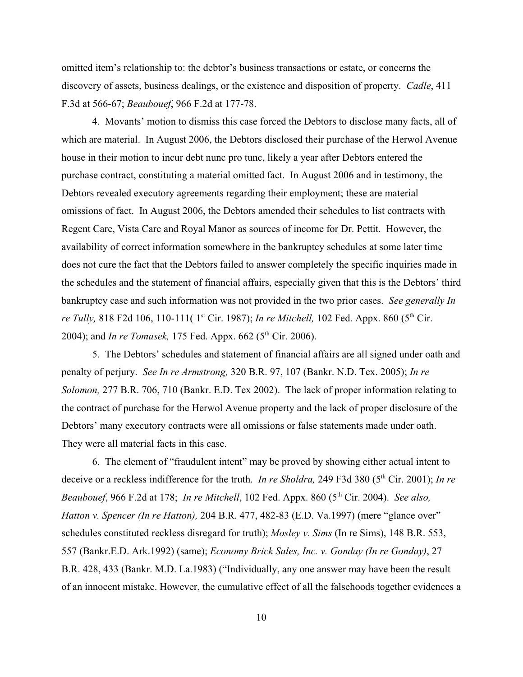omitted item's relationship to: the debtor's business transactions or estate, or concerns the discovery of assets, business dealings, or the existence and disposition of property. *Cadle*, 411 F.3d at 566-67; *Beaubouef*, 966 F.2d at 177-78.

4. Movants' motion to dismiss this case forced the Debtors to disclose many facts, all of which are material. In August 2006, the Debtors disclosed their purchase of the Herwol Avenue house in their motion to incur debt nunc pro tunc, likely a year after Debtors entered the purchase contract, constituting a material omitted fact. In August 2006 and in testimony, the Debtors revealed executory agreements regarding their employment; these are material omissions of fact. In August 2006, the Debtors amended their schedules to list contracts with Regent Care, Vista Care and Royal Manor as sources of income for Dr. Pettit. However, the availability of correct information somewhere in the bankruptcy schedules at some later time does not cure the fact that the Debtors failed to answer completely the specific inquiries made in the schedules and the statement of financial affairs, especially given that this is the Debtors' third bankruptcy case and such information was not provided in the two prior cases. *See generally In re Tully,* 818 F2d 106, 110-111( 1<sup>st</sup> Cir. 1987); *In re Mitchell*, 102 Fed. Appx. 860 (5<sup>th</sup> Cir. 2004); and *In re Tomasek*, 175 Fed. Appx. 662 (5<sup>th</sup> Cir. 2006).

5. The Debtors' schedules and statement of financial affairs are all signed under oath and penalty of perjury. *See In re Armstrong,* 320 B.R. 97, 107 (Bankr. N.D. Tex. 2005); *In re Solomon,* 277 B.R. 706, 710 (Bankr. E.D. Tex 2002). The lack of proper information relating to the contract of purchase for the Herwol Avenue property and the lack of proper disclosure of the Debtors' many executory contracts were all omissions or false statements made under oath. They were all material facts in this case.

6. The element of "fraudulent intent" may be proved by showing either actual intent to deceive or a reckless indifference for the truth. *In re Sholdra*, 249 F3d 380 (5<sup>th</sup> Cir. 2001); *In re Beaubouef*, 966 F.2d at 178; *In re Mitchell*, 102 Fed. Appx. 860 (5<sup>th</sup> Cir. 2004). *See also*, *Hatton v. Spencer (In re Hatton),* 204 B.R. 477, 482-83 (E.D. Va.1997) (mere "glance over" schedules constituted reckless disregard for truth); *Mosley v. Sims* (In re Sims), 148 B.R. 553, 557 (Bankr.E.D. Ark.1992) (same); *Economy Brick Sales, Inc. v. Gonday (In re Gonday)*, 27 B.R. 428, 433 (Bankr. M.D. La.1983) ("Individually, any one answer may have been the result of an innocent mistake. However, the cumulative effect of all the falsehoods together evidences a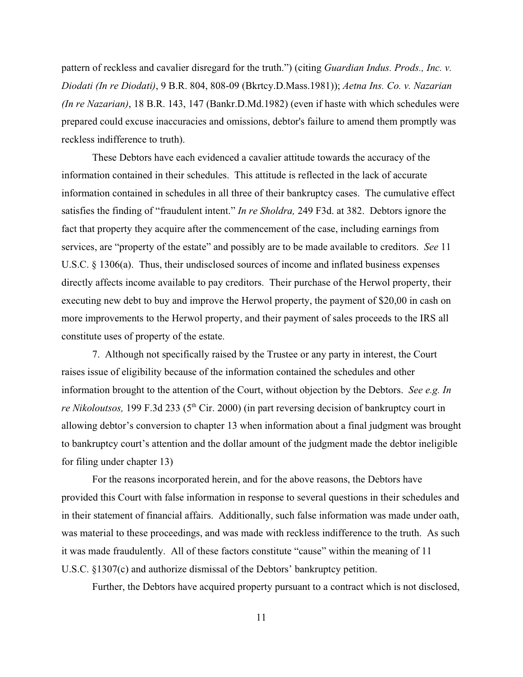pattern of reckless and cavalier disregard for the truth.") (citing *Guardian Indus. Prods., Inc. v. Diodati (In re Diodati)*, 9 B.R. 804, 808-09 (Bkrtcy.D.Mass.1981)); *Aetna Ins. Co. v. Nazarian (In re Nazarian)*, 18 B.R. 143, 147 (Bankr.D.Md.1982) (even if haste with which schedules were prepared could excuse inaccuracies and omissions, debtor's failure to amend them promptly was reckless indifference to truth).

These Debtors have each evidenced a cavalier attitude towards the accuracy of the information contained in their schedules. This attitude is reflected in the lack of accurate information contained in schedules in all three of their bankruptcy cases. The cumulative effect satisfies the finding of "fraudulent intent." *In re Sholdra,* 249 F3d. at 382. Debtors ignore the fact that property they acquire after the commencement of the case, including earnings from services, are "property of the estate" and possibly are to be made available to creditors. *See* 11 U.S.C. § 1306(a). Thus, their undisclosed sources of income and inflated business expenses directly affects income available to pay creditors. Their purchase of the Herwol property, their executing new debt to buy and improve the Herwol property, the payment of \$20,00 in cash on more improvements to the Herwol property, and their payment of sales proceeds to the IRS all constitute uses of property of the estate.

7. Although not specifically raised by the Trustee or any party in interest, the Court raises issue of eligibility because of the information contained the schedules and other information brought to the attention of the Court, without objection by the Debtors. *See e.g. In re Nikoloutsos,* 199 F.3d 233 (5<sup>th</sup> Cir. 2000) (in part reversing decision of bankruptcy court in allowing debtor's conversion to chapter 13 when information about a final judgment was brought to bankruptcy court's attention and the dollar amount of the judgment made the debtor ineligible for filing under chapter 13)

For the reasons incorporated herein, and for the above reasons, the Debtors have provided this Court with false information in response to several questions in their schedules and in their statement of financial affairs. Additionally, such false information was made under oath, was material to these proceedings, and was made with reckless indifference to the truth. As such it was made fraudulently. All of these factors constitute "cause" within the meaning of 11 U.S.C. §1307(c) and authorize dismissal of the Debtors' bankruptcy petition.

Further, the Debtors have acquired property pursuant to a contract which is not disclosed,

11